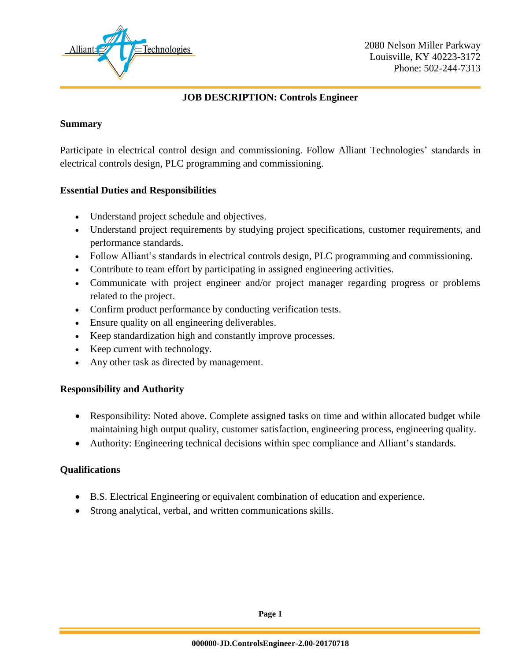

### **JOB DESCRIPTION: Controls Engineer**

#### **Summary**

Participate in electrical control design and commissioning. Follow Alliant Technologies' standards in electrical controls design, PLC programming and commissioning.

#### **Essential Duties and Responsibilities**

- Understand project schedule and objectives.
- Understand project requirements by studying project specifications, customer requirements, and performance standards.
- Follow Alliant's standards in electrical controls design, PLC programming and commissioning.
- Contribute to team effort by participating in assigned engineering activities.
- Communicate with project engineer and/or project manager regarding progress or problems related to the project.
- Confirm product performance by conducting verification tests.
- Ensure quality on all engineering deliverables.
- Keep standardization high and constantly improve processes.
- Keep current with technology.
- Any other task as directed by management.

# **Responsibility and Authority**

- Responsibility: Noted above. Complete assigned tasks on time and within allocated budget while maintaining high output quality, customer satisfaction, engineering process, engineering quality.
- Authority: Engineering technical decisions within spec compliance and Alliant's standards.

# **Qualifications**

- B.S. Electrical Engineering or equivalent combination of education and experience.
- Strong analytical, verbal, and written communications skills.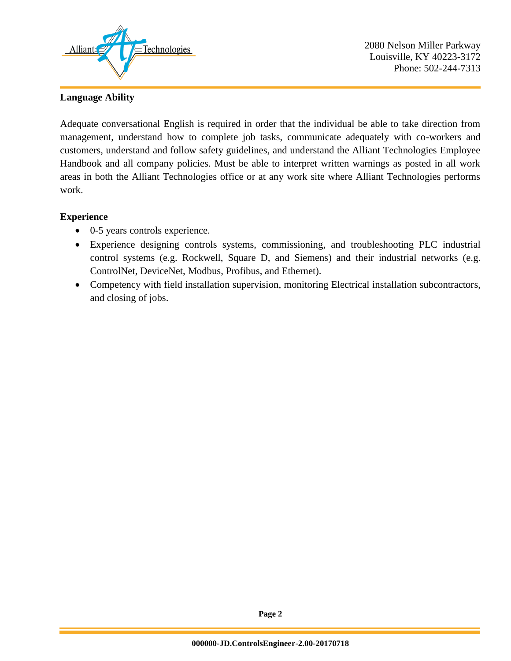

2080 Nelson Miller Parkway Louisville, KY 40223-3172 Phone: 502-244-7313

#### **Language Ability**

Adequate conversational English is required in order that the individual be able to take direction from management, understand how to complete job tasks, communicate adequately with co-workers and customers, understand and follow safety guidelines, and understand the Alliant Technologies Employee Handbook and all company policies. Must be able to interpret written warnings as posted in all work areas in both the Alliant Technologies office or at any work site where Alliant Technologies performs work.

#### **Experience**

- 0-5 years controls experience.
- Experience designing controls systems, commissioning, and troubleshooting PLC industrial control systems (e.g. Rockwell, Square D, and Siemens) and their industrial networks (e.g. ControlNet, DeviceNet, Modbus, Profibus, and Ethernet).
- Competency with field installation supervision, monitoring Electrical installation subcontractors, and closing of jobs.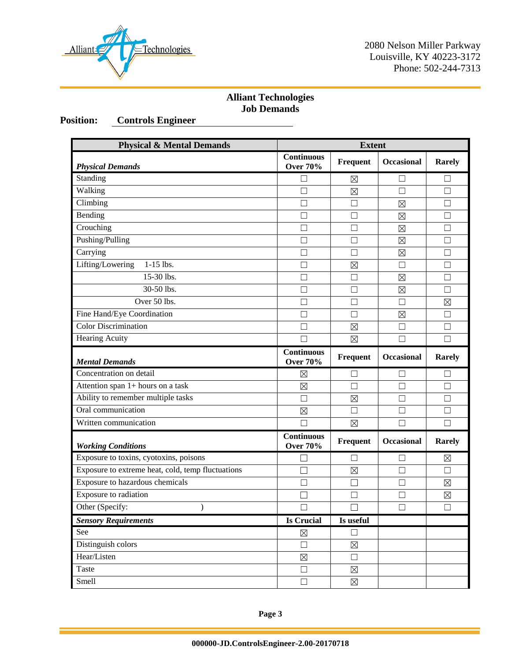

2080 Nelson Miller Parkway Louisville, KY 40223-3172 Phone: 502-244-7313

# **Alliant Technologies Job Demands**

# **Position: Controls Engineer**

| <b>Physical &amp; Mental Demands</b>              | <b>Extent</b>                        |                 |                   |                   |
|---------------------------------------------------|--------------------------------------|-----------------|-------------------|-------------------|
| <b>Physical Demands</b>                           | <b>Continuous</b><br><b>Over 70%</b> | Frequent        | <b>Occasional</b> | <b>Rarely</b>     |
| Standing                                          | □                                    | $\boxtimes$     | $\Box$            | ⊔                 |
| Walking                                           | П                                    | $\boxtimes$     | П                 | П                 |
| Climbing                                          | П                                    |                 | ⊠                 |                   |
| Bending                                           | П                                    | П               | $\boxtimes$       | П                 |
| Crouching                                         | $\Box$                               | П               | $\boxtimes$       | $\Box$            |
| Pushing/Pulling                                   | $\Box$                               | П               | $\boxtimes$       | $\Box$            |
| Carrying                                          | П                                    | П               | $\boxtimes$       | $\Box$            |
| Lifting/Lowering<br>1-15 lbs.                     | П                                    | $\boxtimes$     | $\Box$            | П                 |
| 15-30 lbs.                                        | П                                    | П               | $\boxtimes$       | П                 |
| 30-50 lbs.                                        | П                                    | П               | $\boxtimes$       | Ш                 |
| Over 50 lbs.                                      | П                                    | П               | П                 | $\boxtimes$       |
| Fine Hand/Eye Coordination                        | П                                    | ГI              | ⊠                 | П                 |
| <b>Color Discrimination</b>                       |                                      | $\boxtimes$     | □                 | $\Box$            |
| <b>Hearing Acuity</b>                             |                                      | $\boxtimes$     | □                 | $\Box$            |
| <b>Mental Demands</b>                             | <b>Continuous</b><br><b>Over 70%</b> | Frequent        | <b>Occasional</b> | <b>Rarely</b>     |
| Concentration on detail                           | ⊠                                    |                 |                   |                   |
| Attention span 1+ hours on a task                 | $\boxtimes$                          | П               | $\Box$            | $\vert \ \ \vert$ |
| Ability to remember multiple tasks                | $\Box$                               | $\boxtimes$     | П                 | П                 |
| Oral communication                                | $\boxtimes$                          | П               | П                 | $\Box$            |
| Written communication                             | П                                    | $\boxtimes$     | □                 | П                 |
| <b>Working Conditions</b>                         | <b>Continuous</b><br><b>Over 70%</b> | <b>Frequent</b> | <b>Occasional</b> | <b>Rarely</b>     |
| Exposure to toxins, cyotoxins, poisons            | П                                    | $\Box$          | $\Box$            | $\boxtimes$       |
| Exposure to extreme heat, cold, temp fluctuations | П                                    | $\boxtimes$     | $\Box$            | П                 |
| Exposure to hazardous chemicals                   | П                                    | П               | П                 | $\boxtimes$       |
| Exposure to radiation                             |                                      | H               | $\Box$            | ⊠                 |
| Other (Specify:<br>$\mathcal{E}$                  | $\Box$                               | $\Box$          | $\Box$            | $\Box$            |
| <b>Sensory Requirements</b>                       | <b>Is Crucial</b>                    | Is useful       |                   |                   |
| See                                               | $\boxtimes$                          | $\Box$          |                   |                   |
| Distinguish colors                                | $\Box$                               | $\boxtimes$     |                   |                   |
| Hear/Listen                                       | $\boxtimes$                          | $\Box$          |                   |                   |
| Taste                                             | □                                    | $\boxtimes$     |                   |                   |
| Smell                                             | $\Box$                               | $\boxtimes$     |                   |                   |

**Page 3**